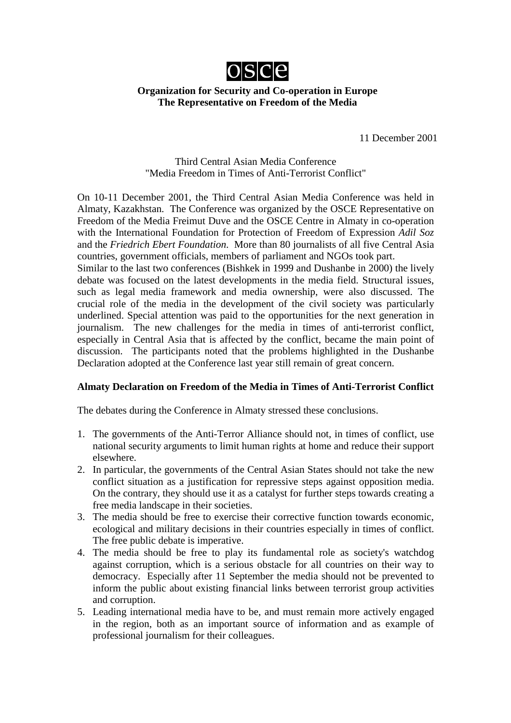

## **Organization for Security and Co-operation in Europe The Representative on Freedom of the Media**

11 December 2001

## Third Central Asian Media Conference "Media Freedom in Times of Anti-Terrorist Conflict"

On 10-11 December 2001, the Third Central Asian Media Conference was held in Almaty, Kazakhstan. The Conference was organized by the OSCE Representative on Freedom of the Media Freimut Duve and the OSCE Centre in Almaty in co-operation with the International Foundation for Protection of Freedom of Expression *Adil Soz* and the *Friedrich Ebert Foundation*. More than 80 journalists of all five Central Asia countries, government officials, members of parliament and NGOs took part.

Similar to the last two conferences (Bishkek in 1999 and Dushanbe in 2000) the lively debate was focused on the latest developments in the media field. Structural issues, such as legal media framework and media ownership, were also discussed. The crucial role of the media in the development of the civil society was particularly underlined. Special attention was paid to the opportunities for the next generation in journalism. The new challenges for the media in times of anti-terrorist conflict, especially in Central Asia that is affected by the conflict, became the main point of discussion. The participants noted that the problems highlighted in the Dushanbe Declaration adopted at the Conference last year still remain of great concern.

## **Almaty Declaration on Freedom of the Media in Times of Anti-Terrorist Conflict**

The debates during the Conference in Almaty stressed these conclusions.

- 1. The governments of the Anti-Terror Alliance should not, in times of conflict, use national security arguments to limit human rights at home and reduce their support elsewhere.
- 2. In particular, the governments of the Central Asian States should not take the new conflict situation as a justification for repressive steps against opposition media. On the contrary, they should use it as a catalyst for further steps towards creating a free media landscape in their societies.
- 3. The media should be free to exercise their corrective function towards economic, ecological and military decisions in their countries especially in times of conflict. The free public debate is imperative.
- 4. The media should be free to play its fundamental role as society's watchdog against corruption, which is a serious obstacle for all countries on their way to democracy. Especially after 11 September the media should not be prevented to inform the public about existing financial links between terrorist group activities and corruption.
- 5. Leading international media have to be, and must remain more actively engaged in the region, both as an important source of information and as example of professional journalism for their colleagues.